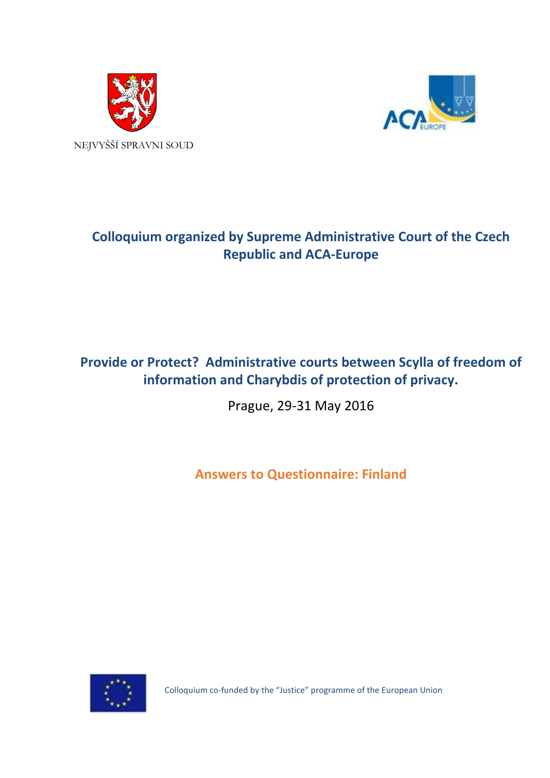



# **Colloquium organized by Supreme Administrative Court of the Czech Republic and ACA-Europe**

# **Provide or Protect? Administrative courts between Scylla of freedom of information and Charybdis of protection of privacy.**

Prague, 29-31 May 2016

**Answers to Questionnaire: Finland**



Colloquium co-funded by the "Justice" programme of the European Union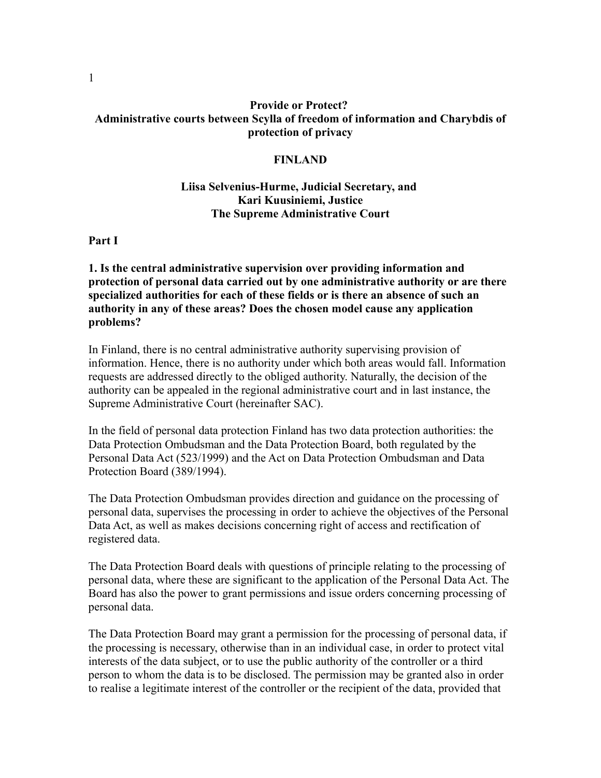## **Provide or Protect? Administrative courts between Scylla of freedom of information and Charybdis of protection of privacy**

#### **FINLAND**

# **Liisa Selvenius-Hurme, Judicial Secretary, and Kari Kuusiniemi, Justice The Supreme Administrative Court**

**Part I**

**1. Is the central administrative supervision over providing information and protection of personal data carried out by one administrative authority or are there specialized authorities for each of these fields or is there an absence of such an authority in any of these areas? Does the chosen model cause any application problems?**

In Finland, there is no central administrative authority supervising provision of information. Hence, there is no authority under which both areas would fall. Information requests are addressed directly to the obliged authority. Naturally, the decision of the authority can be appealed in the regional administrative court and in last instance, the Supreme Administrative Court (hereinafter SAC).

In the field of personal data protection Finland has two data protection authorities: the Data Protection Ombudsman and the Data Protection Board, both regulated by the Personal Data Act (523/1999) and the Act on Data Protection Ombudsman and Data Protection Board (389/1994).

The Data Protection Ombudsman provides direction and guidance on the processing of personal data, supervises the processing in order to achieve the objectives of the Personal Data Act, as well as makes decisions concerning right of access and rectification of registered data.

The Data Protection Board deals with questions of principle relating to the processing of personal data, where these are significant to the application of the Personal Data Act. The Board has also the power to grant permissions and issue orders concerning processing of personal data.

The Data Protection Board may grant a permission for the processing of personal data, if the processing is necessary, otherwise than in an individual case, in order to protect vital interests of the data subject, or to use the public authority of the controller or a third person to whom the data is to be disclosed. The permission may be granted also in order to realise a legitimate interest of the controller or the recipient of the data, provided that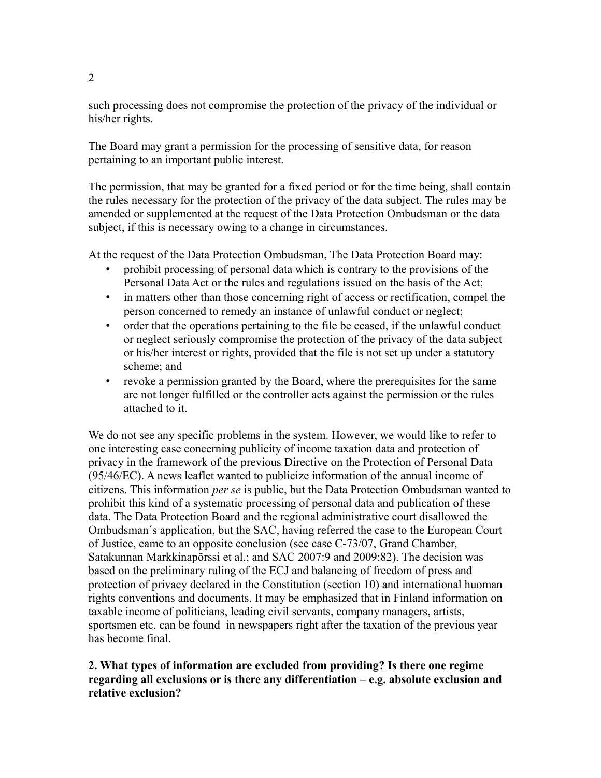such processing does not compromise the protection of the privacy of the individual or his/her rights.

The Board may grant a permission for the processing of sensitive data, for reason pertaining to an important public interest.

The permission, that may be granted for a fixed period or for the time being, shall contain the rules necessary for the protection of the privacy of the data subject. The rules may be amended or supplemented at the request of the Data Protection Ombudsman or the data subject, if this is necessary owing to a change in circumstances.

At the request of the Data Protection Ombudsman, The Data Protection Board may:

- prohibit processing of personal data which is contrary to the provisions of the Personal Data Act or the rules and regulations issued on the basis of the Act;
- in matters other than those concerning right of access or rectification, compel the person concerned to remedy an instance of unlawful conduct or neglect;
- order that the operations pertaining to the file be ceased, if the unlawful conduct or neglect seriously compromise the protection of the privacy of the data subject or his/her interest or rights, provided that the file is not set up under a statutory scheme; and
- revoke a permission granted by the Board, where the prerequisites for the same are not longer fulfilled or the controller acts against the permission or the rules attached to it.

We do not see any specific problems in the system. However, we would like to refer to one interesting case concerning publicity of income taxation data and protection of privacy in the framework of the previous Directive on the Protection of Personal Data (95/46/EC). A news leaflet wanted to publicize information of the annual income of citizens. This information *per se* is public, but the Data Protection Ombudsman wanted to prohibit this kind of a systematic processing of personal data and publication of these data. The Data Protection Board and the regional administrative court disallowed the Ombudsman´s application, but the SAC, having referred the case to the European Court of Justice, came to an opposite conclusion (see case C-73/07, Grand Chamber, Satakunnan Markkinapörssi et al.; and SAC 2007:9 and 2009:82). The decision was based on the preliminary ruling of the ECJ and balancing of freedom of press and protection of privacy declared in the Constitution (section 10) and international huoman rights conventions and documents. It may be emphasized that in Finland information on taxable income of politicians, leading civil servants, company managers, artists, sportsmen etc. can be found in newspapers right after the taxation of the previous year has become final.

## **2. What types of information are excluded from providing? Is there one regime regarding all exclusions or is there any differentiation – e.g. absolute exclusion and relative exclusion?**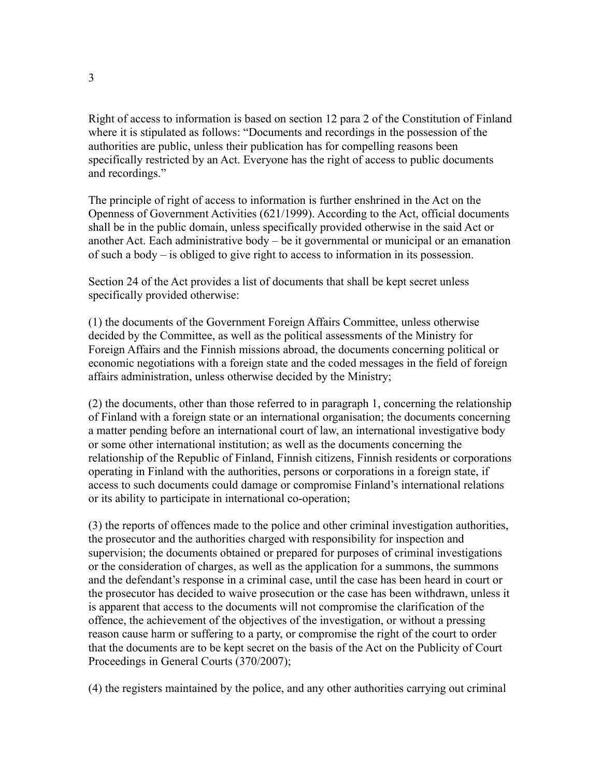Right of access to information is based on section 12 para 2 of the Constitution of Finland where it is stipulated as follows: "Documents and recordings in the possession of the authorities are public, unless their publication has for compelling reasons been specifically restricted by an Act. Everyone has the right of access to public documents and recordings."

The principle of right of access to information is further enshrined in the Act on the Openness of Government Activities (621/1999). According to the Act, official documents shall be in the public domain, unless specifically provided otherwise in the said Act or another Act. Each administrative body – be it governmental or municipal or an emanation of such a body – is obliged to give right to access to information in its possession.

Section 24 of the Act provides a list of documents that shall be kept secret unless specifically provided otherwise:

(1) the documents of the Government Foreign Affairs Committee, unless otherwise decided by the Committee, as well as the political assessments of the Ministry for Foreign Affairs and the Finnish missions abroad, the documents concerning political or economic negotiations with a foreign state and the coded messages in the field of foreign affairs administration, unless otherwise decided by the Ministry;

(2) the documents, other than those referred to in paragraph 1, concerning the relationship of Finland with a foreign state or an international organisation; the documents concerning a matter pending before an international court of law, an international investigative body or some other international institution; as well as the documents concerning the relationship of the Republic of Finland, Finnish citizens, Finnish residents or corporations operating in Finland with the authorities, persons or corporations in a foreign state, if access to such documents could damage or compromise Finland's international relations or its ability to participate in international co-operation;

(3) the reports of offences made to the police and other criminal investigation authorities, the prosecutor and the authorities charged with responsibility for inspection and supervision; the documents obtained or prepared for purposes of criminal investigations or the consideration of charges, as well as the application for a summons, the summons and the defendant's response in a criminal case, until the case has been heard in court or the prosecutor has decided to waive prosecution or the case has been withdrawn, unless it is apparent that access to the documents will not compromise the clarification of the offence, the achievement of the objectives of the investigation, or without a pressing reason cause harm or suffering to a party, or compromise the right of the court to order that the documents are to be kept secret on the basis of the Act on the Publicity of Court Proceedings in General Courts (370/2007);

(4) the registers maintained by the police, and any other authorities carrying out criminal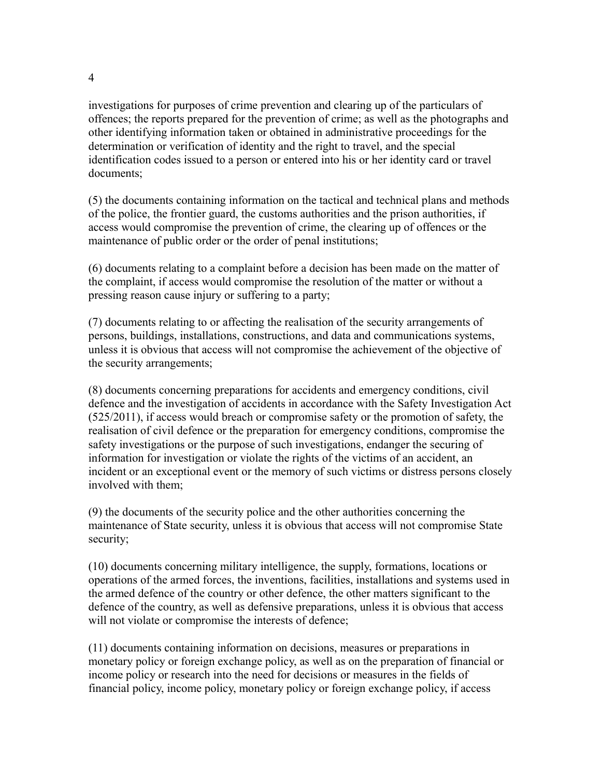4

investigations for purposes of crime prevention and clearing up of the particulars of offences; the reports prepared for the prevention of crime; as well as the photographs and other identifying information taken or obtained in administrative proceedings for the determination or verification of identity and the right to travel, and the special identification codes issued to a person or entered into his or her identity card or travel documents;

(5) the documents containing information on the tactical and technical plans and methods of the police, the frontier guard, the customs authorities and the prison authorities, if access would compromise the prevention of crime, the clearing up of offences or the maintenance of public order or the order of penal institutions;

(6) documents relating to a complaint before a decision has been made on the matter of the complaint, if access would compromise the resolution of the matter or without a pressing reason cause injury or suffering to a party;

(7) documents relating to or affecting the realisation of the security arrangements of persons, buildings, installations, constructions, and data and communications systems, unless it is obvious that access will not compromise the achievement of the objective of the security arrangements;

(8) documents concerning preparations for accidents and emergency conditions, civil defence and the investigation of accidents in accordance with the Safety Investigation Act (525/2011), if access would breach or compromise safety or the promotion of safety, the realisation of civil defence or the preparation for emergency conditions, compromise the safety investigations or the purpose of such investigations, endanger the securing of information for investigation or violate the rights of the victims of an accident, an incident or an exceptional event or the memory of such victims or distress persons closely involved with them;

(9) the documents of the security police and the other authorities concerning the maintenance of State security, unless it is obvious that access will not compromise State security;

(10) documents concerning military intelligence, the supply, formations, locations or operations of the armed forces, the inventions, facilities, installations and systems used in the armed defence of the country or other defence, the other matters significant to the defence of the country, as well as defensive preparations, unless it is obvious that access will not violate or compromise the interests of defence;

(11) documents containing information on decisions, measures or preparations in monetary policy or foreign exchange policy, as well as on the preparation of financial or income policy or research into the need for decisions or measures in the fields of financial policy, income policy, monetary policy or foreign exchange policy, if access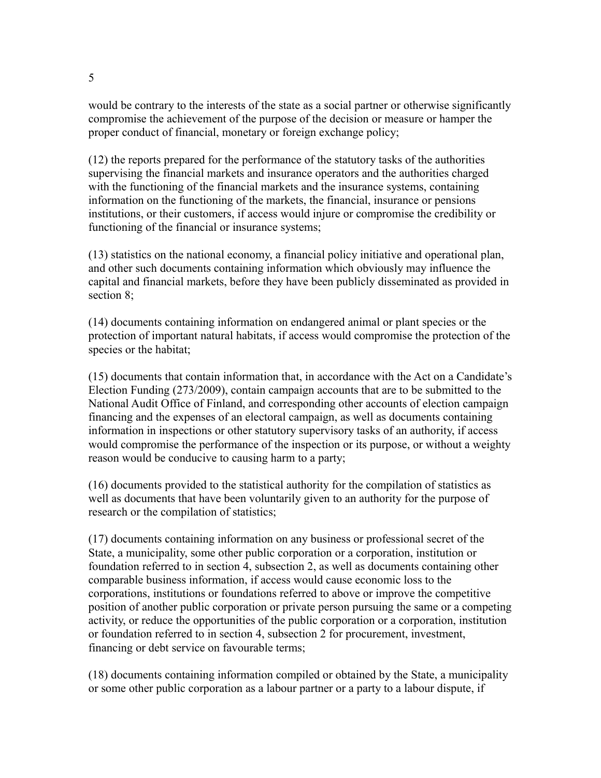would be contrary to the interests of the state as a social partner or otherwise significantly compromise the achievement of the purpose of the decision or measure or hamper the proper conduct of financial, monetary or foreign exchange policy;

(12) the reports prepared for the performance of the statutory tasks of the authorities supervising the financial markets and insurance operators and the authorities charged with the functioning of the financial markets and the insurance systems, containing information on the functioning of the markets, the financial, insurance or pensions institutions, or their customers, if access would injure or compromise the credibility or functioning of the financial or insurance systems;

(13) statistics on the national economy, a financial policy initiative and operational plan, and other such documents containing information which obviously may influence the capital and financial markets, before they have been publicly disseminated as provided in section 8;

(14) documents containing information on endangered animal or plant species or the protection of important natural habitats, if access would compromise the protection of the species or the habitat;

(15) documents that contain information that, in accordance with the Act on a Candidate's Election Funding (273/2009), contain campaign accounts that are to be submitted to the National Audit Office of Finland, and corresponding other accounts of election campaign financing and the expenses of an electoral campaign, as well as documents containing information in inspections or other statutory supervisory tasks of an authority, if access would compromise the performance of the inspection or its purpose, or without a weighty reason would be conducive to causing harm to a party;

(16) documents provided to the statistical authority for the compilation of statistics as well as documents that have been voluntarily given to an authority for the purpose of research or the compilation of statistics;

(17) documents containing information on any business or professional secret of the State, a municipality, some other public corporation or a corporation, institution or foundation referred to in section 4, subsection 2, as well as documents containing other comparable business information, if access would cause economic loss to the corporations, institutions or foundations referred to above or improve the competitive position of another public corporation or private person pursuing the same or a competing activity, or reduce the opportunities of the public corporation or a corporation, institution or foundation referred to in section 4, subsection 2 for procurement, investment, financing or debt service on favourable terms;

(18) documents containing information compiled or obtained by the State, a municipality or some other public corporation as a labour partner or a party to a labour dispute, if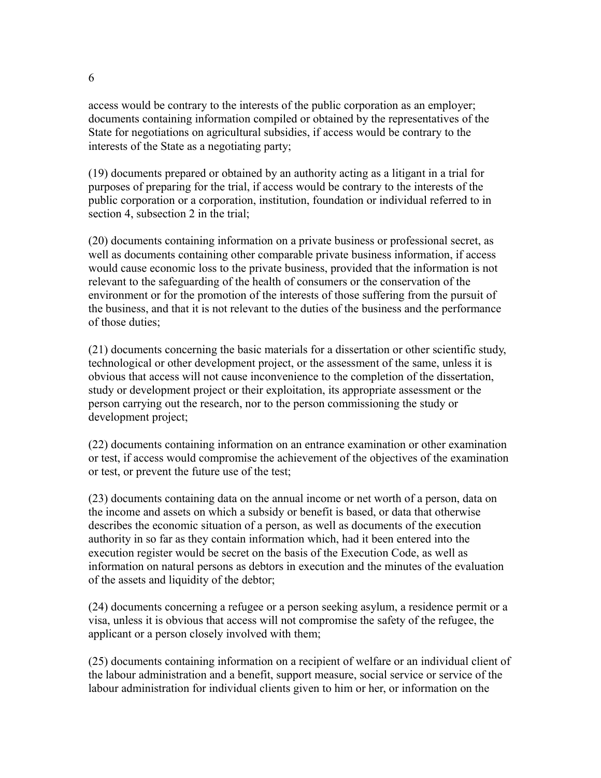access would be contrary to the interests of the public corporation as an employer; documents containing information compiled or obtained by the representatives of the State for negotiations on agricultural subsidies, if access would be contrary to the interests of the State as a negotiating party;

(19) documents prepared or obtained by an authority acting as a litigant in a trial for purposes of preparing for the trial, if access would be contrary to the interests of the public corporation or a corporation, institution, foundation or individual referred to in section 4, subsection 2 in the trial;

(20) documents containing information on a private business or professional secret, as well as documents containing other comparable private business information, if access would cause economic loss to the private business, provided that the information is not relevant to the safeguarding of the health of consumers or the conservation of the environment or for the promotion of the interests of those suffering from the pursuit of the business, and that it is not relevant to the duties of the business and the performance of those duties;

(21) documents concerning the basic materials for a dissertation or other scientific study, technological or other development project, or the assessment of the same, unless it is obvious that access will not cause inconvenience to the completion of the dissertation, study or development project or their exploitation, its appropriate assessment or the person carrying out the research, nor to the person commissioning the study or development project;

(22) documents containing information on an entrance examination or other examination or test, if access would compromise the achievement of the objectives of the examination or test, or prevent the future use of the test;

(23) documents containing data on the annual income or net worth of a person, data on the income and assets on which a subsidy or benefit is based, or data that otherwise describes the economic situation of a person, as well as documents of the execution authority in so far as they contain information which, had it been entered into the execution register would be secret on the basis of the Execution Code, as well as information on natural persons as debtors in execution and the minutes of the evaluation of the assets and liquidity of the debtor;

(24) documents concerning a refugee or a person seeking asylum, a residence permit or a visa, unless it is obvious that access will not compromise the safety of the refugee, the applicant or a person closely involved with them;

(25) documents containing information on a recipient of welfare or an individual client of the labour administration and a benefit, support measure, social service or service of the labour administration for individual clients given to him or her, or information on the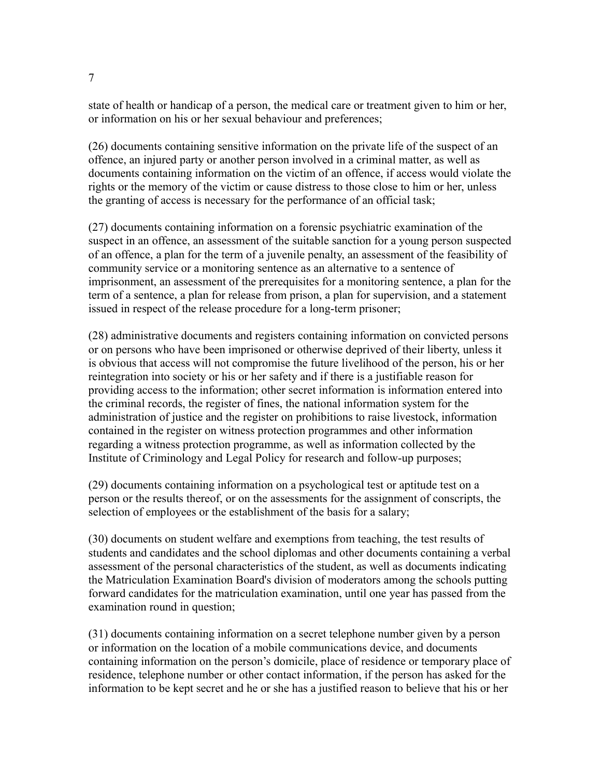state of health or handicap of a person, the medical care or treatment given to him or her, or information on his or her sexual behaviour and preferences;

(26) documents containing sensitive information on the private life of the suspect of an offence, an injured party or another person involved in a criminal matter, as well as documents containing information on the victim of an offence, if access would violate the rights or the memory of the victim or cause distress to those close to him or her, unless the granting of access is necessary for the performance of an official task;

(27) documents containing information on a forensic psychiatric examination of the suspect in an offence, an assessment of the suitable sanction for a young person suspected of an offence, a plan for the term of a juvenile penalty, an assessment of the feasibility of community service or a monitoring sentence as an alternative to a sentence of imprisonment, an assessment of the prerequisites for a monitoring sentence, a plan for the term of a sentence, a plan for release from prison, a plan for supervision, and a statement issued in respect of the release procedure for a long-term prisoner;

(28) administrative documents and registers containing information on convicted persons or on persons who have been imprisoned or otherwise deprived of their liberty, unless it is obvious that access will not compromise the future livelihood of the person, his or her reintegration into society or his or her safety and if there is a justifiable reason for providing access to the information; other secret information is information entered into the criminal records, the register of fines, the national information system for the administration of justice and the register on prohibitions to raise livestock, information contained in the register on witness protection programmes and other information regarding a witness protection programme, as well as information collected by the Institute of Criminology and Legal Policy for research and follow-up purposes;

(29) documents containing information on a psychological test or aptitude test on a person or the results thereof, or on the assessments for the assignment of conscripts, the selection of employees or the establishment of the basis for a salary;

(30) documents on student welfare and exemptions from teaching, the test results of students and candidates and the school diplomas and other documents containing a verbal assessment of the personal characteristics of the student, as well as documents indicating the Matriculation Examination Board's division of moderators among the schools putting forward candidates for the matriculation examination, until one year has passed from the examination round in question;

(31) documents containing information on a secret telephone number given by a person or information on the location of a mobile communications device, and documents containing information on the person's domicile, place of residence or temporary place of residence, telephone number or other contact information, if the person has asked for the information to be kept secret and he or she has a justified reason to believe that his or her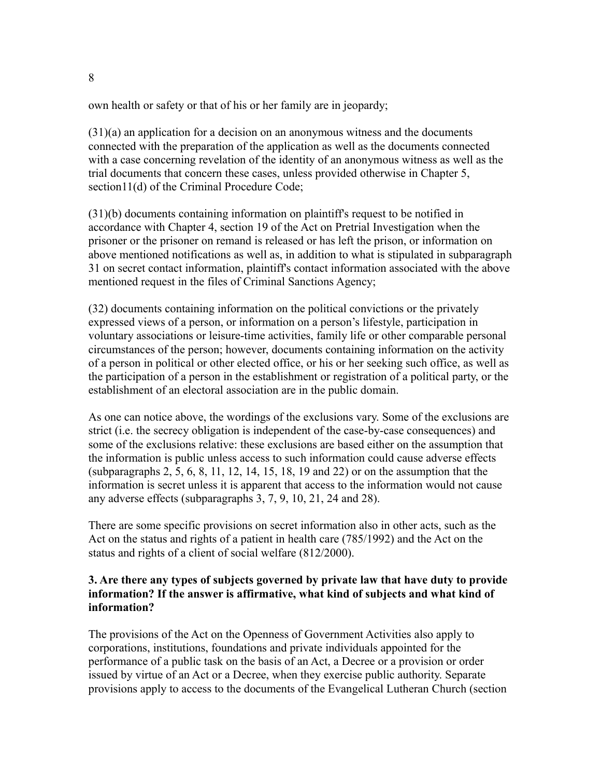own health or safety or that of his or her family are in jeopardy;

 $(31)(a)$  an application for a decision on an anonymous witness and the documents connected with the preparation of the application as well as the documents connected with a case concerning revelation of the identity of an anonymous witness as well as the trial documents that concern these cases, unless provided otherwise in Chapter 5, section11(d) of the Criminal Procedure Code;

(31)(b) documents containing information on plaintiff's request to be notified in accordance with Chapter 4, section 19 of the Act on Pretrial Investigation when the prisoner or the prisoner on remand is released or has left the prison, or information on above mentioned notifications as well as, in addition to what is stipulated in subparagraph 31 on secret contact information, plaintiff's contact information associated with the above mentioned request in the files of Criminal Sanctions Agency;

(32) documents containing information on the political convictions or the privately expressed views of a person, or information on a person's lifestyle, participation in voluntary associations or leisure-time activities, family life or other comparable personal circumstances of the person; however, documents containing information on the activity of a person in political or other elected office, or his or her seeking such office, as well as the participation of a person in the establishment or registration of a political party, or the establishment of an electoral association are in the public domain.

As one can notice above, the wordings of the exclusions vary. Some of the exclusions are strict (i.e. the secrecy obligation is independent of the case-by-case consequences) and some of the exclusions relative: these exclusions are based either on the assumption that the information is public unless access to such information could cause adverse effects (subparagraphs 2, 5, 6, 8, 11, 12, 14, 15, 18, 19 and 22) or on the assumption that the information is secret unless it is apparent that access to the information would not cause any adverse effects (subparagraphs 3, 7, 9, 10, 21, 24 and 28).

There are some specific provisions on secret information also in other acts, such as the Act on the status and rights of a patient in health care (785/1992) and the Act on the status and rights of a client of social welfare (812/2000).

#### **3. Are there any types of subjects governed by private law that have duty to provide information? If the answer is affirmative, what kind of subjects and what kind of information?**

The provisions of the Act on the Openness of Government Activities also apply to corporations, institutions, foundations and private individuals appointed for the performance of a public task on the basis of an Act, a Decree or a provision or order issued by virtue of an Act or a Decree, when they exercise public authority. Separate provisions apply to access to the documents of the Evangelical Lutheran Church (section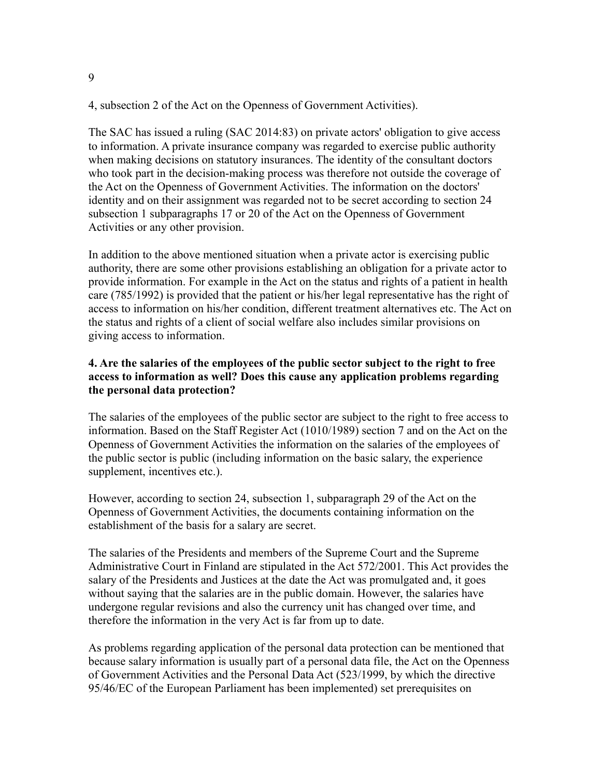4, subsection 2 of the Act on the Openness of Government Activities).

The SAC has issued a ruling (SAC 2014:83) on private actors' obligation to give access to information. A private insurance company was regarded to exercise public authority when making decisions on statutory insurances. The identity of the consultant doctors who took part in the decision-making process was therefore not outside the coverage of the Act on the Openness of Government Activities. The information on the doctors' identity and on their assignment was regarded not to be secret according to section 24 subsection 1 subparagraphs 17 or 20 of the Act on the Openness of Government Activities or any other provision.

In addition to the above mentioned situation when a private actor is exercising public authority, there are some other provisions establishing an obligation for a private actor to provide information. For example in the Act on the status and rights of a patient in health care (785/1992) is provided that the patient or his/her legal representative has the right of access to information on his/her condition, different treatment alternatives etc. The Act on the status and rights of a client of social welfare also includes similar provisions on giving access to information.

# **4. Are the salaries of the employees of the public sector subject to the right to free access to information as well? Does this cause any application problems regarding the personal data protection?**

The salaries of the employees of the public sector are subject to the right to free access to information. Based on the Staff Register Act (1010/1989) section 7 and on the Act on the Openness of Government Activities the information on the salaries of the employees of the public sector is public (including information on the basic salary, the experience supplement, incentives etc.).

However, according to section 24, subsection 1, subparagraph 29 of the Act on the Openness of Government Activities, the documents containing information on the establishment of the basis for a salary are secret.

The salaries of the Presidents and members of the Supreme Court and the Supreme Administrative Court in Finland are stipulated in the Act 572/2001. This Act provides the salary of the Presidents and Justices at the date the Act was promulgated and, it goes without saying that the salaries are in the public domain. However, the salaries have undergone regular revisions and also the currency unit has changed over time, and therefore the information in the very Act is far from up to date.

As problems regarding application of the personal data protection can be mentioned that because salary information is usually part of a personal data file, the Act on the Openness of Government Activities and the Personal Data Act (523/1999, by which the directive 95/46/EC of the European Parliament has been implemented) set prerequisites on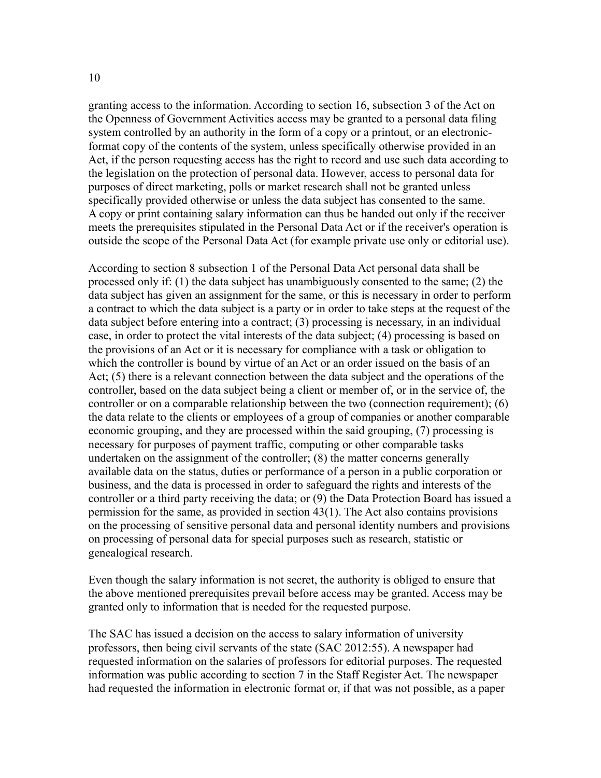granting access to the information. According to section 16, subsection 3 of the Act on the Openness of Government Activities access may be granted to a personal data filing system controlled by an authority in the form of a copy or a printout, or an electronicformat copy of the contents of the system, unless specifically otherwise provided in an Act, if the person requesting access has the right to record and use such data according to the legislation on the protection of personal data. However, access to personal data for purposes of direct marketing, polls or market research shall not be granted unless specifically provided otherwise or unless the data subject has consented to the same. A copy or print containing salary information can thus be handed out only if the receiver meets the prerequisites stipulated in the Personal Data Act or if the receiver's operation is outside the scope of the Personal Data Act (for example private use only or editorial use).

According to section 8 subsection 1 of the Personal Data Act personal data shall be processed only if: (1) the data subject has unambiguously consented to the same; (2) the data subject has given an assignment for the same, or this is necessary in order to perform a contract to which the data subject is a party or in order to take steps at the request of the data subject before entering into a contract; (3) processing is necessary, in an individual case, in order to protect the vital interests of the data subject; (4) processing is based on the provisions of an Act or it is necessary for compliance with a task or obligation to which the controller is bound by virtue of an Act or an order issued on the basis of an Act; (5) there is a relevant connection between the data subject and the operations of the controller, based on the data subject being a client or member of, or in the service of, the controller or on a comparable relationship between the two (connection requirement); (6) the data relate to the clients or employees of a group of companies or another comparable economic grouping, and they are processed within the said grouping, (7) processing is necessary for purposes of payment traffic, computing or other comparable tasks undertaken on the assignment of the controller; (8) the matter concerns generally available data on the status, duties or performance of a person in a public corporation or business, and the data is processed in order to safeguard the rights and interests of the controller or a third party receiving the data; or (9) the Data Protection Board has issued a permission for the same, as provided in section 43(1). The Act also contains provisions on the processing of sensitive personal data and personal identity numbers and provisions on processing of personal data for special purposes such as research, statistic or genealogical research.

Even though the salary information is not secret, the authority is obliged to ensure that the above mentioned prerequisites prevail before access may be granted. Access may be granted only to information that is needed for the requested purpose.

The SAC has issued a decision on the access to salary information of university professors, then being civil servants of the state (SAC 2012:55). A newspaper had requested information on the salaries of professors for editorial purposes. The requested information was public according to section 7 in the Staff Register Act. The newspaper had requested the information in electronic format or, if that was not possible, as a paper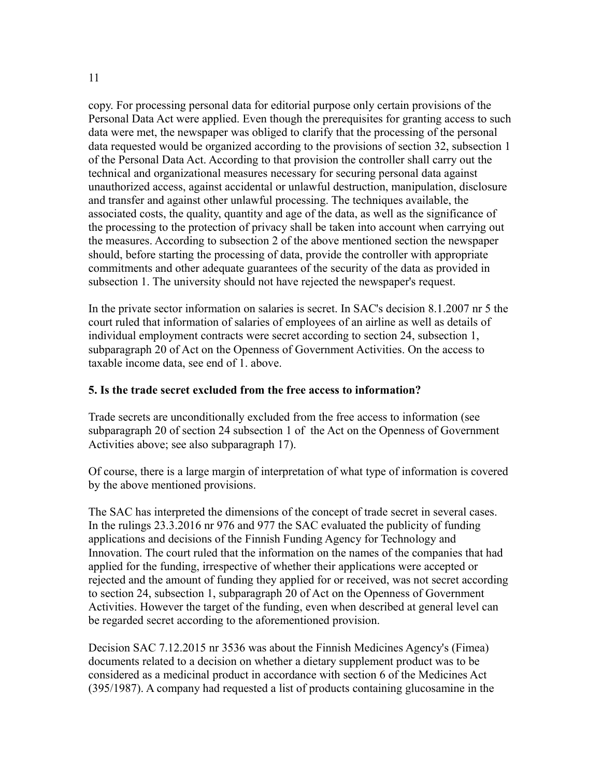copy. For processing personal data for editorial purpose only certain provisions of the Personal Data Act were applied. Even though the prerequisites for granting access to such data were met, the newspaper was obliged to clarify that the processing of the personal data requested would be organized according to the provisions of section 32, subsection 1 of the Personal Data Act. According to that provision the controller shall carry out the technical and organizational measures necessary for securing personal data against unauthorized access, against accidental or unlawful destruction, manipulation, disclosure and transfer and against other unlawful processing. The techniques available, the associated costs, the quality, quantity and age of the data, as well as the significance of the processing to the protection of privacy shall be taken into account when carrying out the measures. According to subsection 2 of the above mentioned section the newspaper should, before starting the processing of data, provide the controller with appropriate commitments and other adequate guarantees of the security of the data as provided in subsection 1. The university should not have rejected the newspaper's request.

In the private sector information on salaries is secret. In SAC's decision 8.1.2007 nr 5 the court ruled that information of salaries of employees of an airline as well as details of individual employment contracts were secret according to section 24, subsection 1, subparagraph 20 of Act on the Openness of Government Activities. On the access to taxable income data, see end of 1. above.

#### **5. Is the trade secret excluded from the free access to information?**

Trade secrets are unconditionally excluded from the free access to information (see subparagraph 20 of section 24 subsection 1 of the Act on the Openness of Government Activities above; see also subparagraph 17).

Of course, there is a large margin of interpretation of what type of information is covered by the above mentioned provisions.

The SAC has interpreted the dimensions of the concept of trade secret in several cases. In the rulings 23.3.2016 nr 976 and 977 the SAC evaluated the publicity of funding applications and decisions of the Finnish Funding Agency for Technology and Innovation. The court ruled that the information on the names of the companies that had applied for the funding, irrespective of whether their applications were accepted or rejected and the amount of funding they applied for or received, was not secret according to section 24, subsection 1, subparagraph 20 of Act on the Openness of Government Activities. However the target of the funding, even when described at general level can be regarded secret according to the aforementioned provision.

Decision SAC 7.12.2015 nr 3536 was about the Finnish Medicines Agency's (Fimea) documents related to a decision on whether a dietary supplement product was to be considered as a medicinal product in accordance with section 6 of the Medicines Act (395/1987). A company had requested a list of products containing glucosamine in the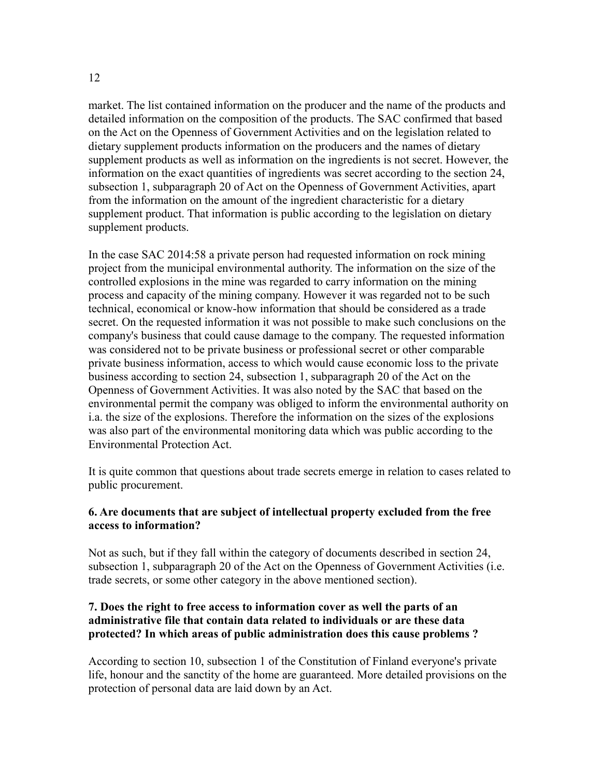market. The list contained information on the producer and the name of the products and detailed information on the composition of the products. The SAC confirmed that based on the Act on the Openness of Government Activities and on the legislation related to dietary supplement products information on the producers and the names of dietary supplement products as well as information on the ingredients is not secret. However, the information on the exact quantities of ingredients was secret according to the section 24, subsection 1, subparagraph 20 of Act on the Openness of Government Activities, apart from the information on the amount of the ingredient characteristic for a dietary supplement product. That information is public according to the legislation on dietary supplement products.

In the case SAC 2014:58 a private person had requested information on rock mining project from the municipal environmental authority. The information on the size of the controlled explosions in the mine was regarded to carry information on the mining process and capacity of the mining company. However it was regarded not to be such technical, economical or know-how information that should be considered as a trade secret. On the requested information it was not possible to make such conclusions on the company's business that could cause damage to the company. The requested information was considered not to be private business or professional secret or other comparable private business information, access to which would cause economic loss to the private business according to section 24, subsection 1, subparagraph 20 of the Act on the Openness of Government Activities. It was also noted by the SAC that based on the environmental permit the company was obliged to inform the environmental authority on i.a. the size of the explosions. Therefore the information on the sizes of the explosions was also part of the environmental monitoring data which was public according to the Environmental Protection Act.

It is quite common that questions about trade secrets emerge in relation to cases related to public procurement.

#### **6. Are documents that are subject of intellectual property excluded from the free access to information?**

Not as such, but if they fall within the category of documents described in section 24, subsection 1, subparagraph 20 of the Act on the Openness of Government Activities (i.e. trade secrets, or some other category in the above mentioned section).

## **7. Does the right to free access to information cover as well the parts of an administrative file that contain data related to individuals or are these data protected? In which areas of public administration does this cause problems ?**

According to section 10, subsection 1 of the Constitution of Finland everyone's private life, honour and the sanctity of the home are guaranteed. More detailed provisions on the protection of personal data are laid down by an Act.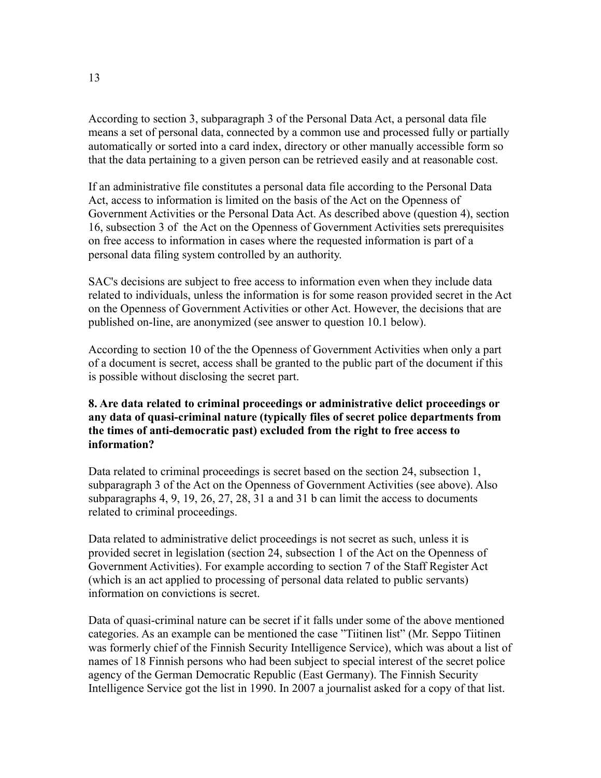According to section 3, subparagraph 3 of the Personal Data Act, a personal data file means a set of personal data, connected by a common use and processed fully or partially automatically or sorted into a card index, directory or other manually accessible form so that the data pertaining to a given person can be retrieved easily and at reasonable cost.

If an administrative file constitutes a personal data file according to the Personal Data Act, access to information is limited on the basis of the Act on the Openness of Government Activities or the Personal Data Act. As described above (question 4), section 16, subsection 3 of the Act on the Openness of Government Activities sets prerequisites on free access to information in cases where the requested information is part of a personal data filing system controlled by an authority.

SAC's decisions are subject to free access to information even when they include data related to individuals, unless the information is for some reason provided secret in the Act on the Openness of Government Activities or other Act. However, the decisions that are published on-line, are anonymized (see answer to question 10.1 below).

According to section 10 of the the Openness of Government Activities when only a part of a document is secret, access shall be granted to the public part of the document if this is possible without disclosing the secret part.

# **8. Are data related to criminal proceedings or administrative delict proceedings or any data of quasi-criminal nature (typically files of secret police departments from the times of anti-democratic past) excluded from the right to free access to information?**

Data related to criminal proceedings is secret based on the section 24, subsection 1, subparagraph 3 of the Act on the Openness of Government Activities (see above). Also subparagraphs 4, 9, 19, 26, 27, 28, 31 a and 31 b can limit the access to documents related to criminal proceedings.

Data related to administrative delict proceedings is not secret as such, unless it is provided secret in legislation (section 24, subsection 1 of the Act on the Openness of Government Activities). For example according to section 7 of the Staff Register Act (which is an act applied to processing of personal data related to public servants) information on convictions is secret.

Data of quasi-criminal nature can be secret if it falls under some of the above mentioned categories. As an example can be mentioned the case "Tiitinen list" (Mr. Seppo Tiitinen was formerly chief of the Finnish Security Intelligence Service), which was about a list of names of 18 Finnish persons who had been subject to special interest of the secret police agency of the German Democratic Republic (East Germany). The Finnish Security Intelligence Service got the list in 1990. In 2007 a journalist asked for a copy of that list.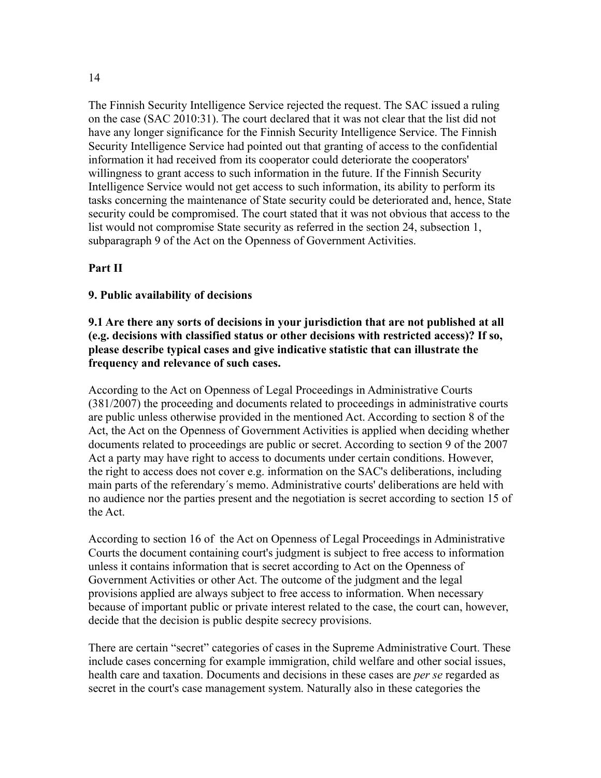#### 14

The Finnish Security Intelligence Service rejected the request. The SAC issued a ruling on the case (SAC 2010:31). The court declared that it was not clear that the list did not have any longer significance for the Finnish Security Intelligence Service. The Finnish Security Intelligence Service had pointed out that granting of access to the confidential information it had received from its cooperator could deteriorate the cooperators' willingness to grant access to such information in the future. If the Finnish Security Intelligence Service would not get access to such information, its ability to perform its tasks concerning the maintenance of State security could be deteriorated and, hence, State security could be compromised. The court stated that it was not obvious that access to the list would not compromise State security as referred in the section 24, subsection 1, subparagraph 9 of the Act on the Openness of Government Activities.

# **Part II**

#### **9. Public availability of decisions**

#### **9.1 Are there any sorts of decisions in your jurisdiction that are not published at all (e.g. decisions with classified status or other decisions with restricted access)? If so, please describe typical cases and give indicative statistic that can illustrate the frequency and relevance of such cases.**

According to the Act on Openness of Legal Proceedings in Administrative Courts (381/2007) the proceeding and documents related to proceedings in administrative courts are public unless otherwise provided in the mentioned Act. According to section 8 of the Act, the Act on the Openness of Government Activities is applied when deciding whether documents related to proceedings are public or secret. According to section 9 of the 2007 Act a party may have right to access to documents under certain conditions. However, the right to access does not cover e.g. information on the SAC's deliberations, including main parts of the referendary´s memo. Administrative courts' deliberations are held with no audience nor the parties present and the negotiation is secret according to section 15 of the Act.

According to section 16 of the Act on Openness of Legal Proceedings in Administrative Courts the document containing court's judgment is subject to free access to information unless it contains information that is secret according to Act on the Openness of Government Activities or other Act. The outcome of the judgment and the legal provisions applied are always subject to free access to information. When necessary because of important public or private interest related to the case, the court can, however, decide that the decision is public despite secrecy provisions.

There are certain "secret" categories of cases in the Supreme Administrative Court. These include cases concerning for example immigration, child welfare and other social issues, health care and taxation. Documents and decisions in these cases are *per se* regarded as secret in the court's case management system. Naturally also in these categories the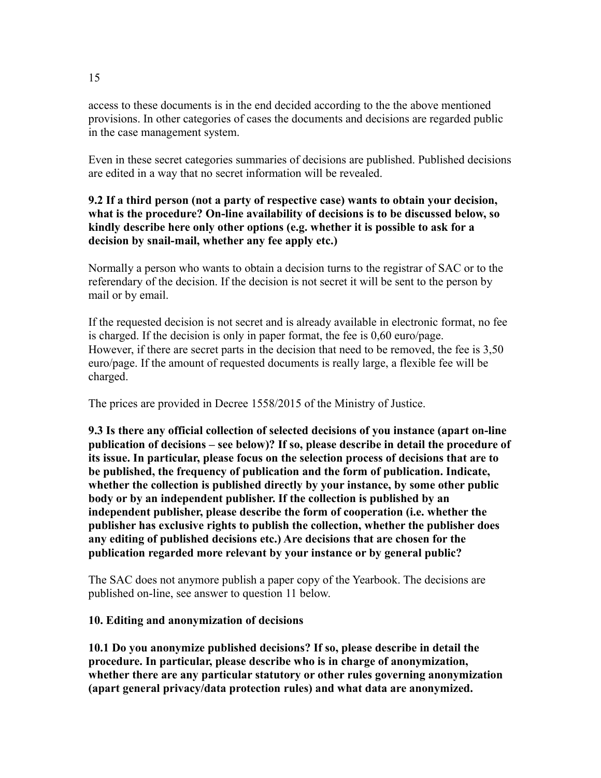access to these documents is in the end decided according to the the above mentioned provisions. In other categories of cases the documents and decisions are regarded public in the case management system.

Even in these secret categories summaries of decisions are published. Published decisions are edited in a way that no secret information will be revealed.

# **9.2 If a third person (not a party of respective case) wants to obtain your decision, what is the procedure? On-line availability of decisions is to be discussed below, so kindly describe here only other options (e.g. whether it is possible to ask for a decision by snail-mail, whether any fee apply etc.)**

Normally a person who wants to obtain a decision turns to the registrar of SAC or to the referendary of the decision. If the decision is not secret it will be sent to the person by mail or by email.

If the requested decision is not secret and is already available in electronic format, no fee is charged. If the decision is only in paper format, the fee is 0,60 euro/page. However, if there are secret parts in the decision that need to be removed, the fee is 3,50 euro/page. If the amount of requested documents is really large, a flexible fee will be charged.

The prices are provided in Decree 1558/2015 of the Ministry of Justice.

**9.3 Is there any official collection of selected decisions of you instance (apart on-line publication of decisions – see below)? If so, please describe in detail the procedure of its issue. In particular, please focus on the selection process of decisions that are to be published, the frequency of publication and the form of publication. Indicate, whether the collection is published directly by your instance, by some other public body or by an independent publisher. If the collection is published by an independent publisher, please describe the form of cooperation (i.e. whether the publisher has exclusive rights to publish the collection, whether the publisher does any editing of published decisions etc.) Are decisions that are chosen for the publication regarded more relevant by your instance or by general public?**

The SAC does not anymore publish a paper copy of the Yearbook. The decisions are published on-line, see answer to question 11 below.

# **10. Editing and anonymization of decisions**

**10.1 Do you anonymize published decisions? If so, please describe in detail the procedure. In particular, please describe who is in charge of anonymization, whether there are any particular statutory or other rules governing anonymization (apart general privacy/data protection rules) and what data are anonymized.**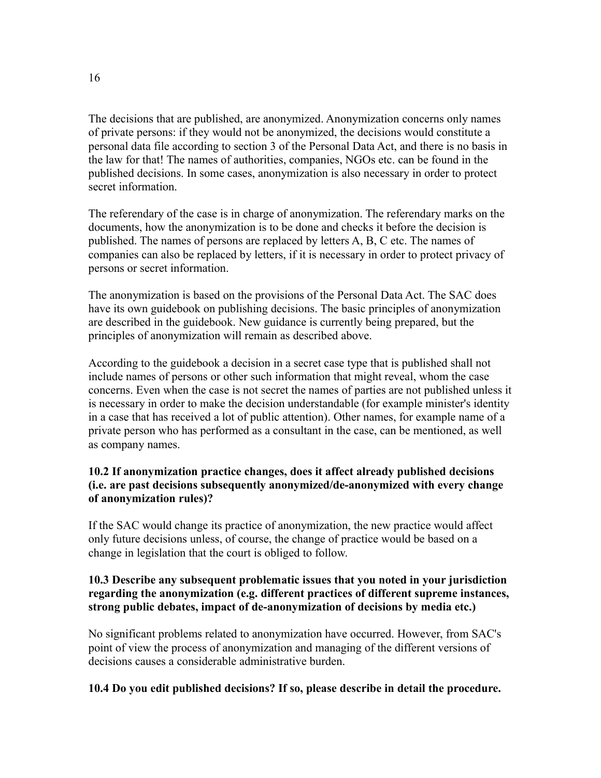The decisions that are published, are anonymized. Anonymization concerns only names of private persons: if they would not be anonymized, the decisions would constitute a personal data file according to section 3 of the Personal Data Act, and there is no basis in the law for that! The names of authorities, companies, NGOs etc. can be found in the published decisions. In some cases, anonymization is also necessary in order to protect secret information.

The referendary of the case is in charge of anonymization. The referendary marks on the documents, how the anonymization is to be done and checks it before the decision is published. The names of persons are replaced by letters A, B, C etc. The names of companies can also be replaced by letters, if it is necessary in order to protect privacy of persons or secret information.

The anonymization is based on the provisions of the Personal Data Act. The SAC does have its own guidebook on publishing decisions. The basic principles of anonymization are described in the guidebook. New guidance is currently being prepared, but the principles of anonymization will remain as described above.

According to the guidebook a decision in a secret case type that is published shall not include names of persons or other such information that might reveal, whom the case concerns. Even when the case is not secret the names of parties are not published unless it is necessary in order to make the decision understandable (for example minister's identity in a case that has received a lot of public attention). Other names, for example name of a private person who has performed as a consultant in the case, can be mentioned, as well as company names.

# **10.2 If anonymization practice changes, does it affect already published decisions (i.e. are past decisions subsequently anonymized/de-anonymized with every change of anonymization rules)?**

If the SAC would change its practice of anonymization, the new practice would affect only future decisions unless, of course, the change of practice would be based on a change in legislation that the court is obliged to follow.

## **10.3 Describe any subsequent problematic issues that you noted in your jurisdiction regarding the anonymization (e.g. different practices of different supreme instances, strong public debates, impact of de-anonymization of decisions by media etc.)**

No significant problems related to anonymization have occurred. However, from SAC's point of view the process of anonymization and managing of the different versions of decisions causes a considerable administrative burden.

# **10.4 Do you edit published decisions? If so, please describe in detail the procedure.**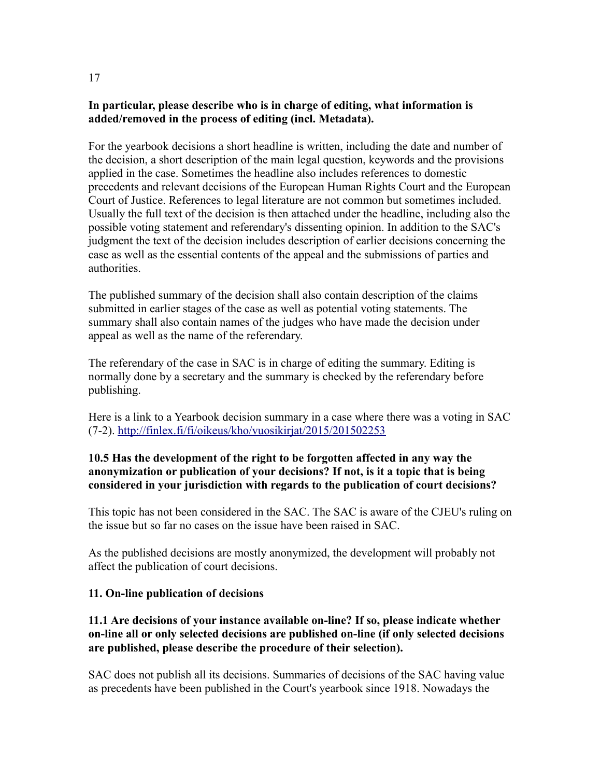# **In particular, please describe who is in charge of editing, what information is added/removed in the process of editing (incl. Metadata).**

For the yearbook decisions a short headline is written, including the date and number of the decision, a short description of the main legal question, keywords and the provisions applied in the case. Sometimes the headline also includes references to domestic precedents and relevant decisions of the European Human Rights Court and the European Court of Justice. References to legal literature are not common but sometimes included. Usually the full text of the decision is then attached under the headline, including also the possible voting statement and referendary's dissenting opinion. In addition to the SAC's judgment the text of the decision includes description of earlier decisions concerning the case as well as the essential contents of the appeal and the submissions of parties and authorities.

The published summary of the decision shall also contain description of the claims submitted in earlier stages of the case as well as potential voting statements. The summary shall also contain names of the judges who have made the decision under appeal as well as the name of the referendary.

The referendary of the case in SAC is in charge of editing the summary. Editing is normally done by a secretary and the summary is checked by the referendary before publishing.

Here is a link to a Yearbook decision summary in a case where there was a voting in SAC (7-2).<http://finlex.fi/fi/oikeus/kho/vuosikirjat/2015/201502253>

## **10.5 Has the development of the right to be forgotten affected in any way the anonymization or publication of your decisions? If not, is it a topic that is being considered in your jurisdiction with regards to the publication of court decisions?**

This topic has not been considered in the SAC. The SAC is aware of the CJEU's ruling on the issue but so far no cases on the issue have been raised in SAC.

As the published decisions are mostly anonymized, the development will probably not affect the publication of court decisions.

# **11. On-line publication of decisions**

# **11.1 Are decisions of your instance available on-line? If so, please indicate whether on-line all or only selected decisions are published on-line (if only selected decisions are published, please describe the procedure of their selection).**

SAC does not publish all its decisions. Summaries of decisions of the SAC having value as precedents have been published in the Court's yearbook since 1918. Nowadays the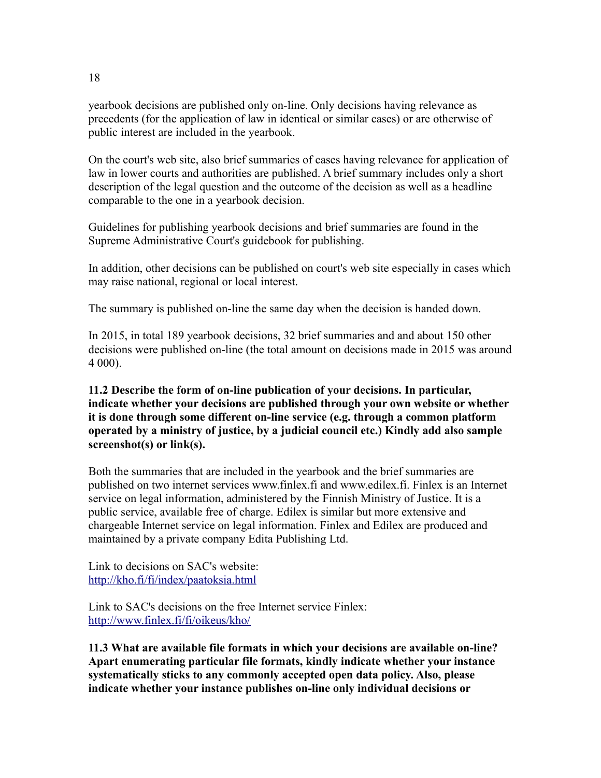yearbook decisions are published only on-line. Only decisions having relevance as precedents (for the application of law in identical or similar cases) or are otherwise of public interest are included in the yearbook.

On the court's web site, also brief summaries of cases having relevance for application of law in lower courts and authorities are published. A brief summary includes only a short description of the legal question and the outcome of the decision as well as a headline comparable to the one in a yearbook decision.

Guidelines for publishing yearbook decisions and brief summaries are found in the Supreme Administrative Court's guidebook for publishing.

In addition, other decisions can be published on court's web site especially in cases which may raise national, regional or local interest.

The summary is published on-line the same day when the decision is handed down.

In 2015, in total 189 yearbook decisions, 32 brief summaries and and about 150 other decisions were published on-line (the total amount on decisions made in 2015 was around 4 000).

**11.2 Describe the form of on-line publication of your decisions. In particular, indicate whether your decisions are published through your own website or whether it is done through some different on-line service (e.g. through a common platform operated by a ministry of justice, by a judicial council etc.) Kindly add also sample screenshot(s) or link(s).**

Both the summaries that are included in the yearbook and the brief summaries are published on two internet services www.finlex.fi and www.edilex.fi. Finlex is an Internet service on legal information, administered by the Finnish Ministry of Justice. It is a public service, available free of charge. Edilex is similar but more extensive and chargeable Internet service on legal information. Finlex and Edilex are produced and maintained by a private company Edita Publishing Ltd.

Link to decisions on SAC's website: <http://kho.fi/fi/index/paatoksia.html>

Link to SAC's decisions on the free Internet service Finlex: <http://www.finlex.fi/fi/oikeus/kho/>

**11.3 What are available file formats in which your decisions are available on-line? Apart enumerating particular file formats, kindly indicate whether your instance systematically sticks to any commonly accepted open data policy. Also, please indicate whether your instance publishes on-line only individual decisions or**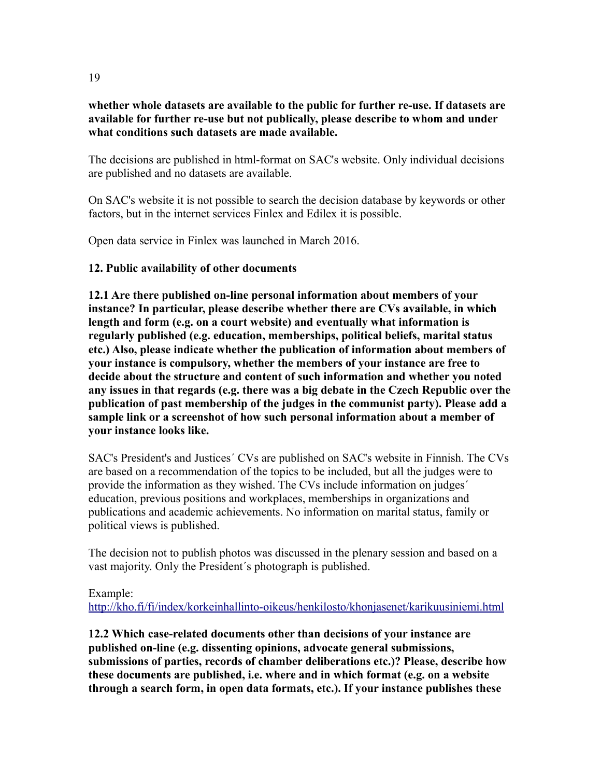#### **whether whole datasets are available to the public for further re-use. If datasets are available for further re-use but not publically, please describe to whom and under what conditions such datasets are made available.**

The decisions are published in html-format on SAC's website. Only individual decisions are published and no datasets are available.

On SAC's website it is not possible to search the decision database by keywords or other factors, but in the internet services Finlex and Edilex it is possible.

Open data service in Finlex was launched in March 2016.

## **12. Public availability of other documents**

**12.1 Are there published on-line personal information about members of your instance? In particular, please describe whether there are CVs available, in which length and form (e.g. on a court website) and eventually what information is regularly published (e.g. education, memberships, political beliefs, marital status etc.) Also, please indicate whether the publication of information about members of your instance is compulsory, whether the members of your instance are free to decide about the structure and content of such information and whether you noted any issues in that regards (e.g. there was a big debate in the Czech Republic over the publication of past membership of the judges in the communist party). Please add a sample link or a screenshot of how such personal information about a member of your instance looks like.**

SAC's President's and Justices´ CVs are published on SAC's website in Finnish. The CVs are based on a recommendation of the topics to be included, but all the judges were to provide the information as they wished. The CVs include information on judges´ education, previous positions and workplaces, memberships in organizations and publications and academic achievements. No information on marital status, family or political views is published.

The decision not to publish photos was discussed in the plenary session and based on a vast majority. Only the President´s photograph is published.

#### Example:

<http://kho.fi/fi/index/korkeinhallinto-oikeus/henkilosto/khonjasenet/karikuusiniemi.html>

**12.2 Which case-related documents other than decisions of your instance are published on-line (e.g. dissenting opinions, advocate general submissions, submissions of parties, records of chamber deliberations etc.)? Please, describe how these documents are published, i.e. where and in which format (e.g. on a website through a search form, in open data formats, etc.). If your instance publishes these**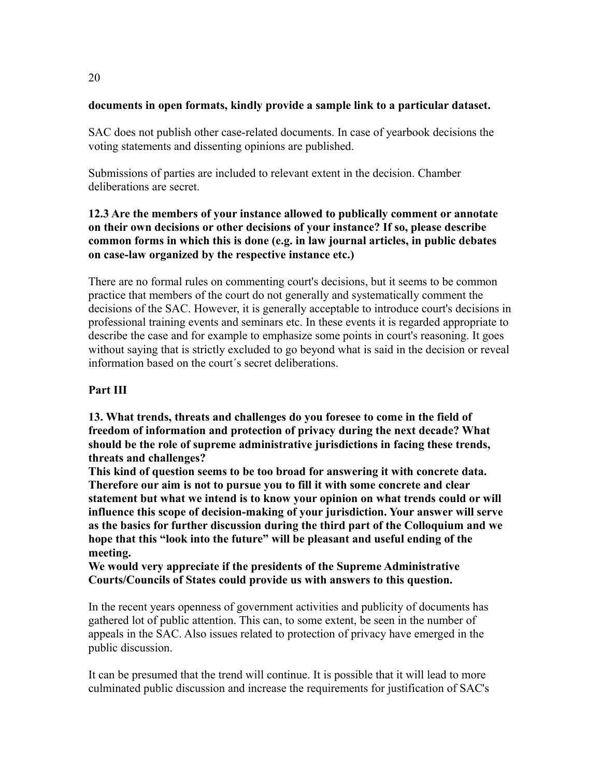## **documents in open formats, kindly provide a sample link to a particular dataset.**

SAC does not publish other case-related documents. In case of yearbook decisions the voting statements and dissenting opinions are published.

Submissions of parties are included to relevant extent in the decision. Chamber deliberations are secret.

# **12.3 Are the members of your instance allowed to publically comment or annotate on their own decisions or other decisions of your instance? If so, please describe common forms in which this is done (e.g. in law journal articles, in public debates on case-law organized by the respective instance etc.)**

There are no formal rules on commenting court's decisions, but it seems to be common practice that members of the court do not generally and systematically comment the decisions of the SAC. However, it is generally acceptable to introduce court's decisions in professional training events and seminars etc. In these events it is regarded appropriate to describe the case and for example to emphasize some points in court's reasoning. It goes without saying that is strictly excluded to go beyond what is said in the decision or reveal information based on the court´s secret deliberations.

# **Part III**

**13. What trends, threats and challenges do you foresee to come in the field of freedom of information and protection of privacy during the next decade? What should be the role of supreme administrative jurisdictions in facing these trends, threats and challenges?**

**This kind of question seems to be too broad for answering it with concrete data. Therefore our aim is not to pursue you to fill it with some concrete and clear statement but what we intend is to know your opinion on what trends could or will influence this scope of decision-making of your jurisdiction. Your answer will serve as the basics for further discussion during the third part of the Colloquium and we hope that this "look into the future" will be pleasant and useful ending of the meeting.**

**We would very appreciate if the presidents of the Supreme Administrative Courts/Councils of States could provide us with answers to this question.**

In the recent years openness of government activities and publicity of documents has gathered lot of public attention. This can, to some extent, be seen in the number of appeals in the SAC. Also issues related to protection of privacy have emerged in the public discussion.

It can be presumed that the trend will continue. It is possible that it will lead to more culminated public discussion and increase the requirements for justification of SAC's